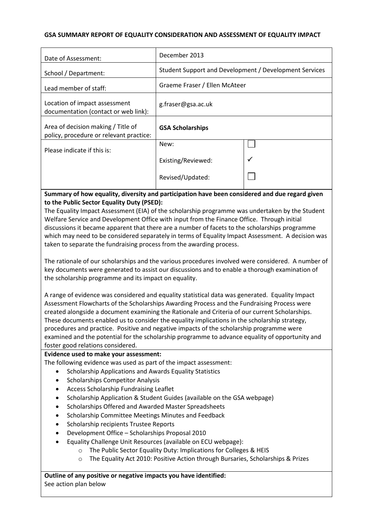## **GSA SUMMARY REPORT OF EQUALITY CONSIDERATION AND ASSESSMENT OF EQUALITY IMPACT**

| Date of Assessment:                                                           | December 2013                                          |              |
|-------------------------------------------------------------------------------|--------------------------------------------------------|--------------|
| School / Department:                                                          | Student Support and Development / Development Services |              |
| Lead member of staff:                                                         | Graeme Fraser / Ellen McAteer                          |              |
| Location of impact assessment<br>documentation (contact or web link):         | g.fraser@gsa.ac.uk                                     |              |
| Area of decision making / Title of<br>policy, procedure or relevant practice: | <b>GSA Scholarships</b>                                |              |
| Please indicate if this is:                                                   | New:                                                   |              |
|                                                                               | Existing/Reviewed:                                     | $\checkmark$ |
|                                                                               | Revised/Updated:                                       |              |

**Summary of how equality, diversity and participation have been considered and due regard given to the Public Sector Equality Duty (PSED):**

The Equality Impact Assessment (EIA) of the scholarship programme was undertaken by the Student Welfare Service and Development Office with input from the Finance Office. Through initial discussions it became apparent that there are a number of facets to the scholarships programme which may need to be considered separately in terms of Equality Impact Assessment. A decision was taken to separate the fundraising process from the awarding process.

The rationale of our scholarships and the various procedures involved were considered. A number of key documents were generated to assist our discussions and to enable a thorough examination of the scholarship programme and its impact on equality.

A range of evidence was considered and equality statistical data was generated. Equality Impact Assessment Flowcharts of the Scholarships Awarding Process and the Fundraising Process were created alongside a document examining the Rationale and Criteria of our current Scholarships. These documents enabled us to consider the equality implications in the scholarship strategy, procedures and practice. Positive and negative impacts of the scholarship programme were examined and the potential for the scholarship programme to advance equality of opportunity and foster good relations considered.

**Evidence used to make your assessment:**

The following evidence was used as part of the impact assessment:

- Scholarship Applications and Awards Equality Statistics
- Scholarships Competitor Analysis
- Access Scholarship Fundraising Leaflet
- Scholarship Application & Student Guides (available on the GSA webpage)
- **•** Scholarships Offered and Awarded Master Spreadsheets
- Scholarship Committee Meetings Minutes and Feedback
- **•** Scholarship recipients Trustee Reports
- Development Office Scholarships Proposal 2010
- Equality Challenge Unit Resources (available on ECU webpage):
	- o The Public Sector Equality Duty: Implications for Colleges & HEIS
	- o The Equality Act 2010: Positive Action through Bursaries, Scholarships & Prizes

**Outline of any positive or negative impacts you have identified:** See action plan below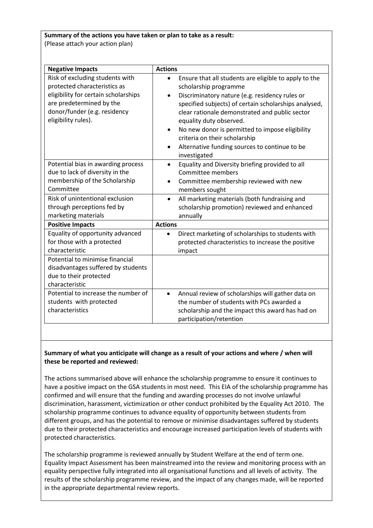## **Summary of the actions you have taken or plan to take as a result:** (Please attach your action plan)

| <b>Negative Impacts</b>                                                                                                                                                                                     | <b>Actions</b>                                                                                                                                                                                                                                                                                                                                                                                                                                        |
|-------------------------------------------------------------------------------------------------------------------------------------------------------------------------------------------------------------|-------------------------------------------------------------------------------------------------------------------------------------------------------------------------------------------------------------------------------------------------------------------------------------------------------------------------------------------------------------------------------------------------------------------------------------------------------|
| Risk of excluding students with<br>protected characteristics as<br>eligibility for certain scholarships<br>are predetermined by the<br>donor/funder (e.g. residency<br>eligibility rules).                  | Ensure that all students are eligible to apply to the<br>scholarship programme<br>Discriminatory nature (e.g. residency rules or<br>$\bullet$<br>specified subjects) of certain scholarships analysed,<br>clear rationale demonstrated and public sector<br>equality duty observed.<br>No new donor is permitted to impose eligibility<br>$\bullet$<br>criteria on their scholarship<br>Alternative funding sources to continue to be<br>investigated |
| Potential bias in awarding process<br>due to lack of diversity in the<br>membership of the Scholarship<br>Committee<br>Risk of unintentional exclusion<br>through perceptions fed by<br>marketing materials | Equality and Diversity briefing provided to all<br>$\bullet$<br>Committee members<br>Committee membership reviewed with new<br>$\bullet$<br>members sought<br>All marketing materials (both fundraising and<br>$\bullet$<br>scholarship promotion) reviewed and enhanced<br>annually                                                                                                                                                                  |
| <b>Positive Impacts</b>                                                                                                                                                                                     | <b>Actions</b>                                                                                                                                                                                                                                                                                                                                                                                                                                        |
| Equality of opportunity advanced<br>for those with a protected<br>characteristic                                                                                                                            | Direct marketing of scholarships to students with<br>$\bullet$<br>protected characteristics to increase the positive<br>impact                                                                                                                                                                                                                                                                                                                        |
| Potential to minimise financial<br>disadvantages suffered by students<br>due to their protected<br>characteristic                                                                                           |                                                                                                                                                                                                                                                                                                                                                                                                                                                       |
| Potential to increase the number of<br>students with protected<br>characteristics                                                                                                                           | Annual review of scholarships will gather data on<br>$\bullet$<br>the number of students with PCs awarded a<br>scholarship and the impact this award has had on<br>participation/retention                                                                                                                                                                                                                                                            |

# **Summary of what you anticipate will change as a result of your actions and where / when will these be reported and reviewed:**

The actions summarised above will enhance the scholarship programme to ensure it continues to have a positive impact on the GSA students in most need. This EIA of the scholarship programme has confirmed and will ensure that the funding and awarding processes do not involve unlawful discrimination, harassment, victimization or other conduct prohibited by the Equality Act 2010. The scholarship programme continues to advance equality of opportunity between students from different groups, and has the potential to remove or minimise disadvantages suffered by students due to their protected characteristics and encourage increased participation levels of students with protected characteristics.

The scholarship programme is reviewed annually by Student Welfare at the end of term one. Equality Impact Assessment has been mainstreamed into the review and monitoring process with an equality perspective fully integrated into all organisational functions and all levels of activity. The results of the scholarship programme review, and the impact of any changes made, will be reported in the appropriate departmental review reports.